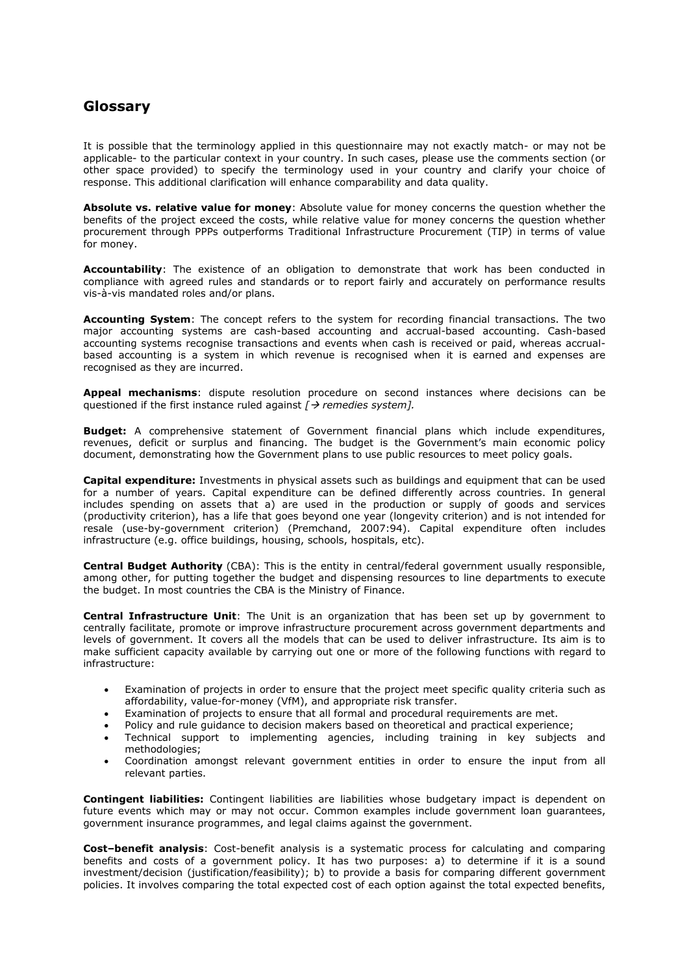## **Glossary**

It is possible that the terminology applied in this questionnaire may not exactly match- or may not be applicable- to the particular context in your country. In such cases, please use the comments section (or other space provided) to specify the terminology used in your country and clarify your choice of response. This additional clarification will enhance comparability and data quality.

**Absolute vs. relative value for money**: Absolute value for money concerns the question whether the benefits of the project exceed the costs, while relative value for money concerns the question whether procurement through PPPs outperforms Traditional Infrastructure Procurement (TIP) in terms of value for money.

**Accountability**: The existence of an obligation to demonstrate that work has been conducted in compliance with agreed rules and standards or to report fairly and accurately on performance results vis-à-vis mandated roles and/or plans.

**Accounting System**: The concept refers to the system for recording financial transactions. The two major accounting systems are cash-based accounting and accrual-based accounting. Cash-based accounting systems recognise transactions and events when cash is received or paid, whereas accrualbased accounting is a system in which revenue is recognised when it is earned and expenses are recognised as they are incurred.

**Appeal mechanisms**: dispute resolution procedure on second instances where decisions can be questioned if the first instance ruled against *[ remedies system].*

**Budget:** A comprehensive statement of Government financial plans which include expenditures, revenues, deficit or surplus and financing. The budget is the Government's main economic policy document, demonstrating how the Government plans to use public resources to meet policy goals.

**Capital expenditure:** Investments in physical assets such as buildings and equipment that can be used for a number of years. Capital expenditure can be defined differently across countries. In general includes spending on assets that a) are used in the production or supply of goods and services (productivity criterion), has a life that goes beyond one year (longevity criterion) and is not intended for resale (use-by-government criterion) (Premchand, 2007:94). Capital expenditure often includes infrastructure (e.g. office buildings, housing, schools, hospitals, etc).

**Central Budget Authority** (CBA): This is the entity in central/federal government usually responsible, among other, for putting together the budget and dispensing resources to line departments to execute the budget. In most countries the CBA is the Ministry of Finance.

**Central Infrastructure Unit**: The Unit is an organization that has been set up by government to centrally facilitate, promote or improve infrastructure procurement across government departments and levels of government. It covers all the models that can be used to deliver infrastructure. Its aim is to make sufficient capacity available by carrying out one or more of the following functions with regard to infrastructure:

- Examination of projects in order to ensure that the project meet specific quality criteria such as affordability, value-for-money (VfM), and appropriate risk transfer.
- Examination of projects to ensure that all formal and procedural requirements are met.
- Policy and rule guidance to decision makers based on theoretical and practical experience;
- Technical support to implementing agencies, including training in key subjects and methodologies;
- Coordination amongst relevant government entities in order to ensure the input from all relevant parties.

**Contingent liabilities:** Contingent liabilities are liabilities whose budgetary impact is dependent on future events which may or may not occur. Common examples include government loan guarantees, government insurance programmes, and legal claims against the government.

**Cost–benefit analysis**: Cost-benefit analysis is a systematic process for calculating and comparing benefits and costs of a government policy. It has two purposes: a) to determine if it is a sound investment/decision (justification/feasibility); b) to provide a basis for comparing different government policies. It involves comparing the total expected cost of each option against the total expected benefits,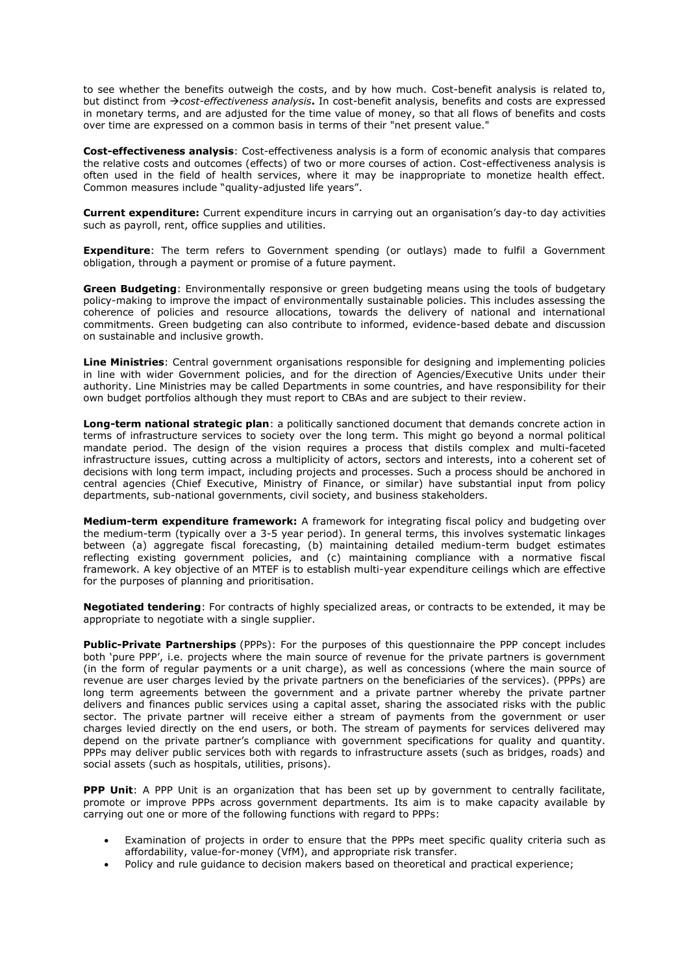to see whether the benefits outweigh the costs, and by how much. Cost-benefit analysis is related to, but distinct from *cost-effectiveness analysis***.** In cost-benefit analysis, benefits and costs are expressed in monetary terms, and are adjusted for the time value of money, so that all flows of benefits and costs over time are expressed on a common basis in terms of their "net present value."

**Cost-effectiveness analysis**: Cost-effectiveness analysis is a form of economic analysis that compares the relative costs and outcomes (effects) of two or more courses of action. Cost-effectiveness analysis is often used in the field of health services, where it may be inappropriate to monetize health effect. Common measures include "quality-adjusted life years".

**Current expenditure:** Current expenditure incurs in carrying out an organisation's day-to day activities such as payroll, rent, office supplies and utilities.

**Expenditure**: The term refers to Government spending (or outlays) made to fulfil a Government obligation, through a payment or promise of a future payment.

**Green Budgeting**: Environmentally responsive or green budgeting means using the tools of budgetary policy-making to improve the impact of environmentally sustainable policies. This includes assessing the coherence of policies and resource allocations, towards the delivery of national and international commitments. Green budgeting can also contribute to informed, evidence-based debate and discussion on sustainable and inclusive growth.

**Line Ministries**: Central government organisations responsible for designing and implementing policies in line with wider Government policies, and for the direction of Agencies/Executive Units under their authority. Line Ministries may be called Departments in some countries, and have responsibility for their own budget portfolios although they must report to CBAs and are subject to their review.

**Long-term national strategic plan**: a politically sanctioned document that demands concrete action in terms of infrastructure services to society over the long term. This might go beyond a normal political mandate period. The design of the vision requires a process that distils complex and multi-faceted infrastructure issues, cutting across a multiplicity of actors, sectors and interests, into a coherent set of decisions with long term impact, including projects and processes. Such a process should be anchored in central agencies (Chief Executive, Ministry of Finance, or similar) have substantial input from policy departments, sub-national governments, civil society, and business stakeholders.

**Medium-term expenditure framework:** A framework for integrating fiscal policy and budgeting over the medium-term (typically over a 3-5 year period). In general terms, this involves systematic linkages between (a) aggregate fiscal forecasting, (b) maintaining detailed medium-term budget estimates reflecting existing government policies, and (c) maintaining compliance with a normative fiscal framework. A key objective of an MTEF is to establish multi-year expenditure ceilings which are effective for the purposes of planning and prioritisation.

**Negotiated tendering**: For contracts of highly specialized areas, or contracts to be extended, it may be appropriate to negotiate with a single supplier.

**Public-Private Partnerships** (PPPs): For the purposes of this questionnaire the PPP concept includes both 'pure PPP', i.e. projects where the main source of revenue for the private partners is government (in the form of regular payments or a unit charge), as well as concessions (where the main source of revenue are user charges levied by the private partners on the beneficiaries of the services). (PPPs) are long term agreements between the government and a private partner whereby the private partner delivers and finances public services using a capital asset, sharing the associated risks with the public sector. The private partner will receive either a stream of payments from the government or user charges levied directly on the end users, or both. The stream of payments for services delivered may depend on the private partner's compliance with government specifications for quality and quantity. PPPs may deliver public services both with regards to infrastructure assets (such as bridges, roads) and social assets (such as hospitals, utilities, prisons).

**PPP Unit:** A PPP Unit is an organization that has been set up by government to centrally facilitate, promote or improve PPPs across government departments. Its aim is to make capacity available by carrying out one or more of the following functions with regard to PPPs:

- Examination of projects in order to ensure that the PPPs meet specific quality criteria such as affordability, value-for-money (VfM), and appropriate risk transfer.
- Policy and rule guidance to decision makers based on theoretical and practical experience;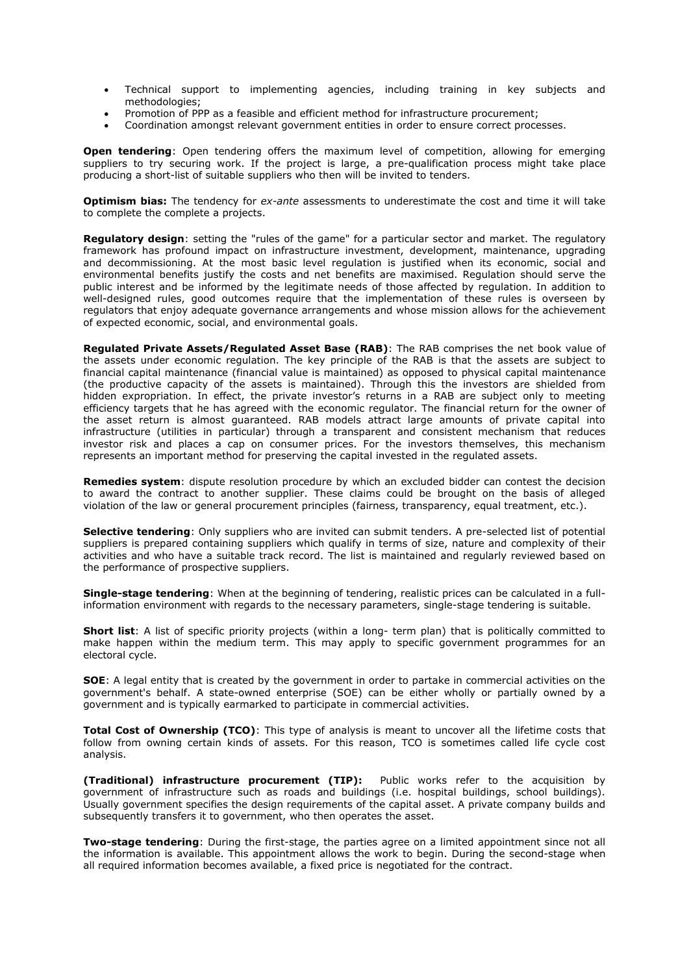- Technical support to implementing agencies, including training in key subjects and methodologies;
- Promotion of PPP as a feasible and efficient method for infrastructure procurement;
- Coordination amongst relevant government entities in order to ensure correct processes.

**Open tendering**: Open tendering offers the maximum level of competition, allowing for emerging suppliers to try securing work. If the project is large, a pre-qualification process might take place producing a short-list of suitable suppliers who then will be invited to tenders.

**Optimism bias:** The tendency for *ex-ante* assessments to underestimate the cost and time it will take to complete the complete a projects.

**Regulatory design**: setting the "rules of the game" for a particular sector and market. The regulatory framework has profound impact on infrastructure investment, development, maintenance, upgrading and decommissioning. At the most basic level regulation is justified when its economic, social and environmental benefits justify the costs and net benefits are maximised. Regulation should serve the public interest and be informed by the legitimate needs of those affected by regulation. In addition to well-designed rules, good outcomes require that the implementation of these rules is overseen by regulators that enjoy adequate governance arrangements and whose mission allows for the achievement of expected economic, social, and environmental goals.

**Regulated Private Assets/Regulated Asset Base (RAB)**: The RAB comprises the net book value of the assets under economic regulation. The key principle of the RAB is that the assets are subject to financial capital maintenance (financial value is maintained) as opposed to physical capital maintenance (the productive capacity of the assets is maintained). Through this the investors are shielded from hidden expropriation. In effect, the private investor's returns in a RAB are subject only to meeting efficiency targets that he has agreed with the economic regulator. The financial return for the owner of the asset return is almost guaranteed. RAB models attract large amounts of private capital into infrastructure (utilities in particular) through a transparent and consistent mechanism that reduces investor risk and places a cap on consumer prices. For the investors themselves, this mechanism represents an important method for preserving the capital invested in the regulated assets.

**Remedies system**: dispute resolution procedure by which an excluded bidder can contest the decision to award the contract to another supplier. These claims could be brought on the basis of alleged violation of the law or general procurement principles (fairness, transparency, equal treatment, etc.).

**Selective tendering**: Only suppliers who are invited can submit tenders. A pre-selected list of potential suppliers is prepared containing suppliers which qualify in terms of size, nature and complexity of their activities and who have a suitable track record. The list is maintained and regularly reviewed based on the performance of prospective suppliers.

**Single-stage tendering**: When at the beginning of tendering, realistic prices can be calculated in a fullinformation environment with regards to the necessary parameters, single-stage tendering is suitable.

**Short list**: A list of specific priority projects (within a long- term plan) that is politically committed to make happen within the medium term. This may apply to specific government programmes for an electoral cycle.

**SOE**: A legal entity that is created by the government in order to partake in commercial activities on the government's behalf. A state-owned enterprise (SOE) can be either wholly or partially owned by a government and is typically earmarked to participate in commercial activities.

**Total Cost of Ownership (TCO)**: This type of analysis is meant to uncover all the lifetime costs that follow from owning certain kinds of assets. For this reason, TCO is sometimes called life cycle cost analysis.

**(Traditional) infrastructure procurement (TIP):** Public works refer to the acquisition by government of infrastructure such as roads and buildings (i.e. hospital buildings, school buildings). Usually government specifies the design requirements of the capital asset. A private company builds and subsequently transfers it to government, who then operates the asset.

**Two-stage tendering**: During the first-stage, the parties agree on a limited appointment since not all the information is available. This appointment allows the work to begin. During the second-stage when all required information becomes available, a fixed price is negotiated for the contract.